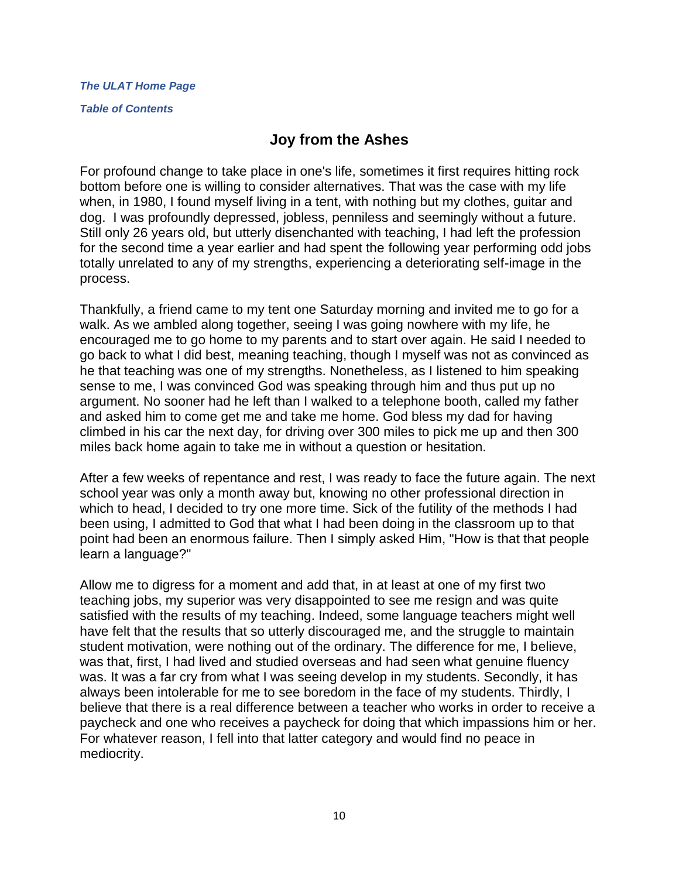*[Table of Contents](http://www.theulat.com/INOTHERWORDS/CONTENTS.PDF)*

## **Joy from the Ashes**

For profound change to take place in one's life, sometimes it first requires hitting rock bottom before one is willing to consider alternatives. That was the case with my life when, in 1980, I found myself living in a tent, with nothing but my clothes, guitar and dog. I was profoundly depressed, jobless, penniless and seemingly without a future. Still only 26 years old, but utterly disenchanted with teaching, I had left the profession for the second time a year earlier and had spent the following year performing odd jobs totally unrelated to any of my strengths, experiencing a deteriorating self-image in the process.

Thankfully, a friend came to my tent one Saturday morning and invited me to go for a walk. As we ambled along together, seeing I was going nowhere with my life, he encouraged me to go home to my parents and to start over again. He said I needed to go back to what I did best, meaning teaching, though I myself was not as convinced as he that teaching was one of my strengths. Nonetheless, as I listened to him speaking sense to me, I was convinced God was speaking through him and thus put up no argument. No sooner had he left than I walked to a telephone booth, called my father and asked him to come get me and take me home. God bless my dad for having climbed in his car the next day, for driving over 300 miles to pick me up and then 300 miles back home again to take me in without a question or hesitation.

After a few weeks of repentance and rest, I was ready to face the future again. The next school year was only a month away but, knowing no other professional direction in which to head, I decided to try one more time. Sick of the futility of the methods I had been using, I admitted to God that what I had been doing in the classroom up to that point had been an enormous failure. Then I simply asked Him, "How is that that people learn a language?"

Allow me to digress for a moment and add that, in at least at one of my first two teaching jobs, my superior was very disappointed to see me resign and was quite satisfied with the results of my teaching. Indeed, some language teachers might well have felt that the results that so utterly discouraged me, and the struggle to maintain student motivation, were nothing out of the ordinary. The difference for me, I believe, was that, first, I had lived and studied overseas and had seen what genuine fluency was. It was a far cry from what I was seeing develop in my students. Secondly, it has always been intolerable for me to see boredom in the face of my students. Thirdly, I believe that there is a real difference between a teacher who works in order to receive a paycheck and one who receives a paycheck for doing that which impassions him or her. For whatever reason, I fell into that latter category and would find no peace in mediocrity.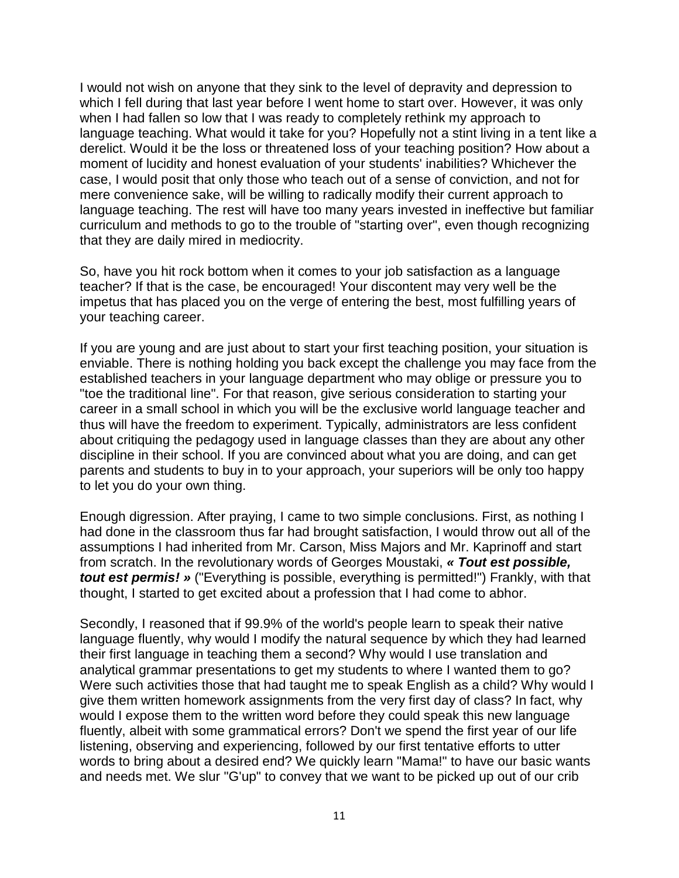I would not wish on anyone that they sink to the level of depravity and depression to which I fell during that last year before I went home to start over. However, it was only when I had fallen so low that I was ready to completely rethink my approach to language teaching. What would it take for you? Hopefully not a stint living in a tent like a derelict. Would it be the loss or threatened loss of your teaching position? How about a moment of lucidity and honest evaluation of your students' inabilities? Whichever the case, I would posit that only those who teach out of a sense of conviction, and not for mere convenience sake, will be willing to radically modify their current approach to language teaching. The rest will have too many years invested in ineffective but familiar curriculum and methods to go to the trouble of "starting over", even though recognizing that they are daily mired in mediocrity.

So, have you hit rock bottom when it comes to your job satisfaction as a language teacher? If that is the case, be encouraged! Your discontent may very well be the impetus that has placed you on the verge of entering the best, most fulfilling years of your teaching career.

If you are young and are just about to start your first teaching position, your situation is enviable. There is nothing holding you back except the challenge you may face from the established teachers in your language department who may oblige or pressure you to "toe the traditional line". For that reason, give serious consideration to starting your career in a small school in which you will be the exclusive world language teacher and thus will have the freedom to experiment. Typically, administrators are less confident about critiquing the pedagogy used in language classes than they are about any other discipline in their school. If you are convinced about what you are doing, and can get parents and students to buy in to your approach, your superiors will be only too happy to let you do your own thing.

Enough digression. After praying, I came to two simple conclusions. First, as nothing I had done in the classroom thus far had brought satisfaction, I would throw out all of the assumptions I had inherited from Mr. Carson, Miss Majors and Mr. Kaprinoff and start from scratch. In the revolutionary words of Georges Moustaki, *« Tout est possible, tout est permis! »* ("Everything is possible, everything is permitted!") Frankly, with that thought, I started to get excited about a profession that I had come to abhor.

Secondly, I reasoned that if 99.9% of the world's people learn to speak their native language fluently, why would I modify the natural sequence by which they had learned their first language in teaching them a second? Why would I use translation and analytical grammar presentations to get my students to where I wanted them to go? Were such activities those that had taught me to speak English as a child? Why would I give them written homework assignments from the very first day of class? In fact, why would I expose them to the written word before they could speak this new language fluently, albeit with some grammatical errors? Don't we spend the first year of our life listening, observing and experiencing, followed by our first tentative efforts to utter words to bring about a desired end? We quickly learn "Mama!" to have our basic wants and needs met. We slur "G'up" to convey that we want to be picked up out of our crib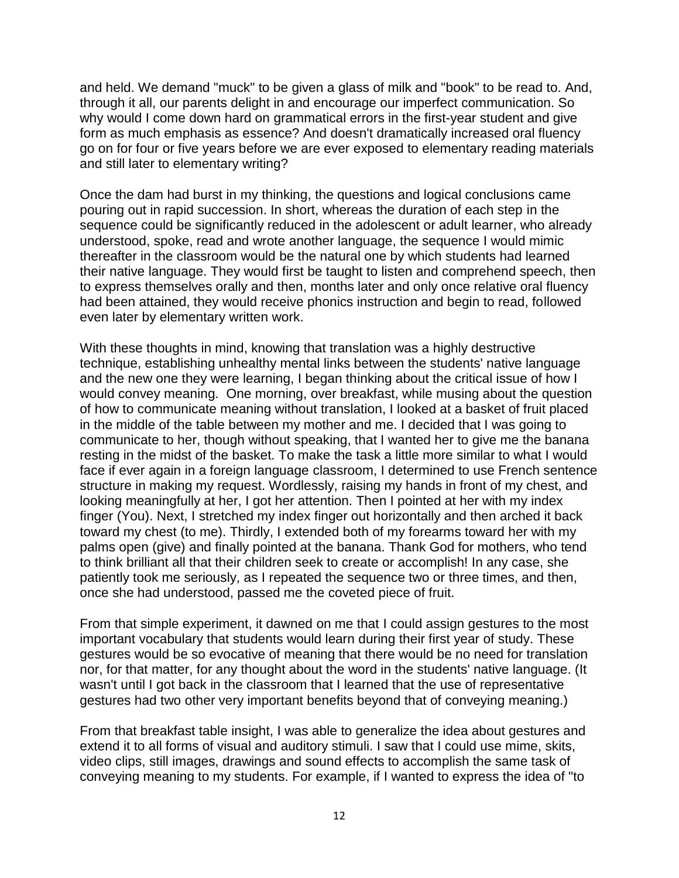and held. We demand "muck" to be given a glass of milk and "book" to be read to. And, through it all, our parents delight in and encourage our imperfect communication. So why would I come down hard on grammatical errors in the first-year student and give form as much emphasis as essence? And doesn't dramatically increased oral fluency go on for four or five years before we are ever exposed to elementary reading materials and still later to elementary writing?

Once the dam had burst in my thinking, the questions and logical conclusions came pouring out in rapid succession. In short, whereas the duration of each step in the sequence could be significantly reduced in the adolescent or adult learner, who already understood, spoke, read and wrote another language, the sequence I would mimic thereafter in the classroom would be the natural one by which students had learned their native language. They would first be taught to listen and comprehend speech, then to express themselves orally and then, months later and only once relative oral fluency had been attained, they would receive phonics instruction and begin to read, followed even later by elementary written work.

With these thoughts in mind, knowing that translation was a highly destructive technique, establishing unhealthy mental links between the students' native language and the new one they were learning, I began thinking about the critical issue of how I would convey meaning. One morning, over breakfast, while musing about the question of how to communicate meaning without translation, I looked at a basket of fruit placed in the middle of the table between my mother and me. I decided that I was going to communicate to her, though without speaking, that I wanted her to give me the banana resting in the midst of the basket. To make the task a little more similar to what I would face if ever again in a foreign language classroom, I determined to use French sentence structure in making my request. Wordlessly, raising my hands in front of my chest, and looking meaningfully at her, I got her attention. Then I pointed at her with my index finger (You). Next, I stretched my index finger out horizontally and then arched it back toward my chest (to me). Thirdly, I extended both of my forearms toward her with my palms open (give) and finally pointed at the banana. Thank God for mothers, who tend to think brilliant all that their children seek to create or accomplish! In any case, she patiently took me seriously, as I repeated the sequence two or three times, and then, once she had understood, passed me the coveted piece of fruit.

From that simple experiment, it dawned on me that I could assign gestures to the most important vocabulary that students would learn during their first year of study. These gestures would be so evocative of meaning that there would be no need for translation nor, for that matter, for any thought about the word in the students' native language. (It wasn't until I got back in the classroom that I learned that the use of representative gestures had two other very important benefits beyond that of conveying meaning.)

From that breakfast table insight, I was able to generalize the idea about gestures and extend it to all forms of visual and auditory stimuli. I saw that I could use mime, skits, video clips, still images, drawings and sound effects to accomplish the same task of conveying meaning to my students. For example, if I wanted to express the idea of "to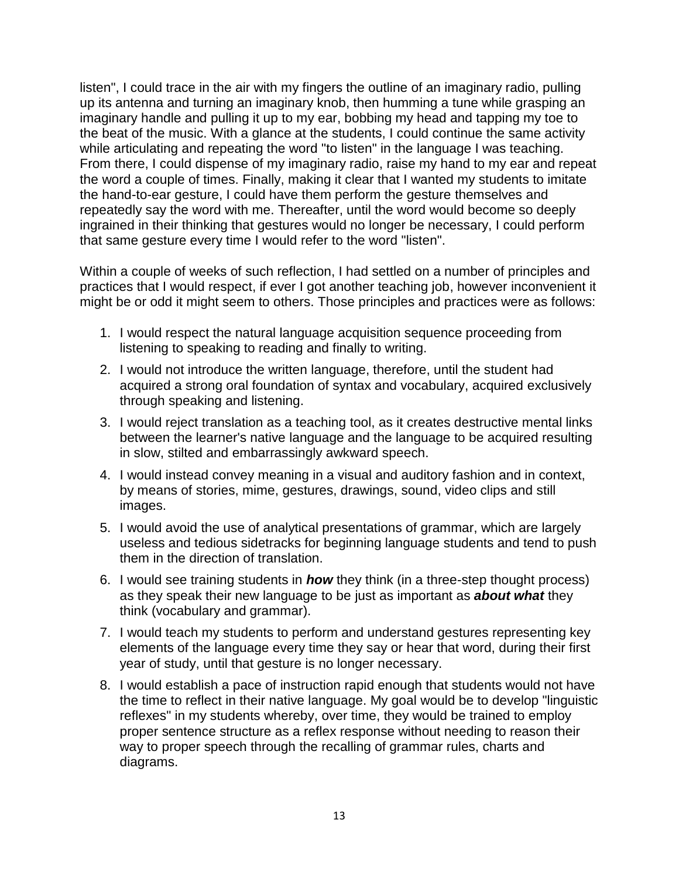listen", I could trace in the air with my fingers the outline of an imaginary radio, pulling up its antenna and turning an imaginary knob, then humming a tune while grasping an imaginary handle and pulling it up to my ear, bobbing my head and tapping my toe to the beat of the music. With a glance at the students, I could continue the same activity while articulating and repeating the word "to listen" in the language I was teaching. From there, I could dispense of my imaginary radio, raise my hand to my ear and repeat the word a couple of times. Finally, making it clear that I wanted my students to imitate the hand-to-ear gesture, I could have them perform the gesture themselves and repeatedly say the word with me. Thereafter, until the word would become so deeply ingrained in their thinking that gestures would no longer be necessary, I could perform that same gesture every time I would refer to the word "listen".

Within a couple of weeks of such reflection, I had settled on a number of principles and practices that I would respect, if ever I got another teaching job, however inconvenient it might be or odd it might seem to others. Those principles and practices were as follows:

- 1. I would respect the natural language acquisition sequence proceeding from listening to speaking to reading and finally to writing.
- 2. I would not introduce the written language, therefore, until the student had acquired a strong oral foundation of syntax and vocabulary, acquired exclusively through speaking and listening.
- 3. I would reject translation as a teaching tool, as it creates destructive mental links between the learner's native language and the language to be acquired resulting in slow, stilted and embarrassingly awkward speech.
- 4. I would instead convey meaning in a visual and auditory fashion and in context, by means of stories, mime, gestures, drawings, sound, video clips and still images.
- 5. I would avoid the use of analytical presentations of grammar, which are largely useless and tedious sidetracks for beginning language students and tend to push them in the direction of translation.
- 6. I would see training students in *how* they think (in a three-step thought process) as they speak their new language to be just as important as *about what* they think (vocabulary and grammar).
- 7. I would teach my students to perform and understand gestures representing key elements of the language every time they say or hear that word, during their first year of study, until that gesture is no longer necessary.
- 8. I would establish a pace of instruction rapid enough that students would not have the time to reflect in their native language. My goal would be to develop "linguistic reflexes" in my students whereby, over time, they would be trained to employ proper sentence structure as a reflex response without needing to reason their way to proper speech through the recalling of grammar rules, charts and diagrams.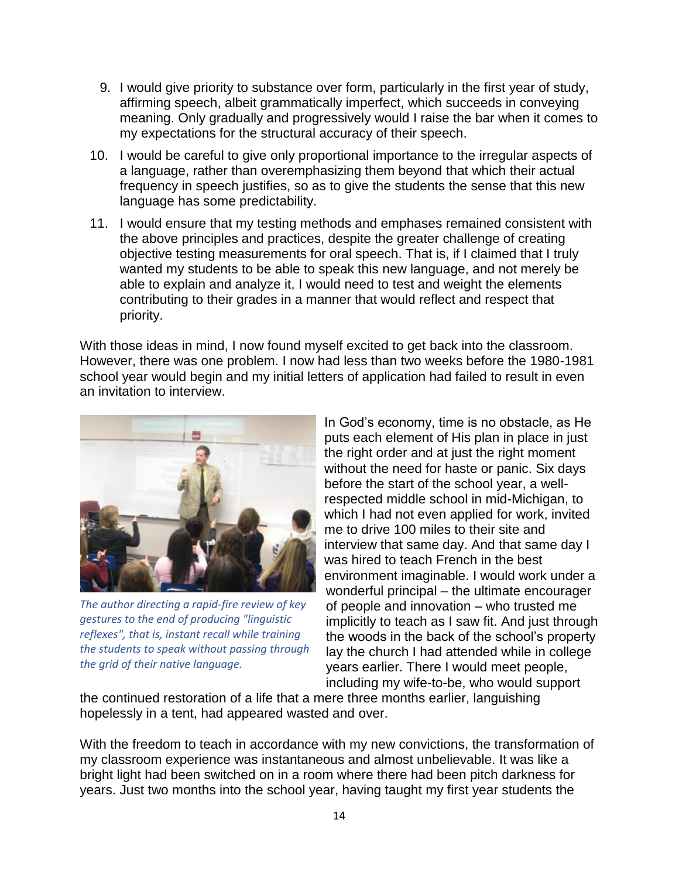- 9. I would give priority to substance over form, particularly in the first year of study, affirming speech, albeit grammatically imperfect, which succeeds in conveying meaning. Only gradually and progressively would I raise the bar when it comes to my expectations for the structural accuracy of their speech.
- 10. I would be careful to give only proportional importance to the irregular aspects of a language, rather than overemphasizing them beyond that which their actual frequency in speech justifies, so as to give the students the sense that this new language has some predictability.
- 11. I would ensure that my testing methods and emphases remained consistent with the above principles and practices, despite the greater challenge of creating objective testing measurements for oral speech. That is, if I claimed that I truly wanted my students to be able to speak this new language, and not merely be able to explain and analyze it, I would need to test and weight the elements contributing to their grades in a manner that would reflect and respect that priority.

With those ideas in mind, I now found myself excited to get back into the classroom. However, there was one problem. I now had less than two weeks before the 1980-1981 school year would begin and my initial letters of application had failed to result in even an invitation to interview.



*The author directing a rapid-fire review of key gestures to the end of producing "linguistic reflexes", that is, instant recall while training the students to speak without passing through the grid of their native language.*

In God's economy, time is no obstacle, as He puts each element of His plan in place in just the right order and at just the right moment without the need for haste or panic. Six days before the start of the school year, a wellrespected middle school in mid-Michigan, to which I had not even applied for work, invited me to drive 100 miles to their site and interview that same day. And that same day I was hired to teach French in the best environment imaginable. I would work under a wonderful principal – the ultimate encourager of people and innovation – who trusted me implicitly to teach as I saw fit. And just through the woods in the back of the school's property lay the church I had attended while in college years earlier. There I would meet people, including my wife-to-be, who would support

the continued restoration of a life that a mere three months earlier, languishing hopelessly in a tent, had appeared wasted and over.

With the freedom to teach in accordance with my new convictions, the transformation of my classroom experience was instantaneous and almost unbelievable. It was like a bright light had been switched on in a room where there had been pitch darkness for years. Just two months into the school year, having taught my first year students the